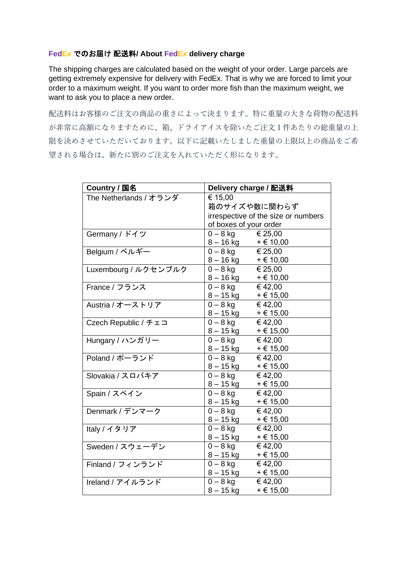## **FedEx** でのお届け 配送料**/ About FedEx delivery charge**

The shipping charges are calculated based on the weight of your order. Large parcels are getting extremely expensive for delivery with FedEx. That is why we are forced to limit your order to a maximum weight. If you want to order more fish than the maximum weight, we want to ask you to place a new order.

配送料はお客様のご注文の商品の重さによって決まります。特に重量の大きな荷物の配送料 が非常に高額になりますために、箱、ドライアイスを除いたご注文1件あたりの総重量の上 限を決めさせていただいております。以下に記載いたしました重量の上限以上の商品をご希 望される場合は、新たに別のご注文を入れていただく形になります。

| Country / 国名                  | Delivery charge / 配送料                       |               |
|-------------------------------|---------------------------------------------|---------------|
| The Netherlands / オランダ        | € 15,00                                     |               |
|                               | 箱のサイズや数に関わらず                                |               |
|                               | irrespective of the size or numbers         |               |
|                               | of boxes of your order                      |               |
| Germany / ドイツ                 | $0 - 8$ kg $\t\in$ 25,00                    |               |
|                               | $8 - 16$ kg + € 10,00                       |               |
| Belgium /ベルギー                 | $0 - 8 \overline{\text{kg}}$ $\times 25,00$ |               |
|                               | $8 - 16 \text{ kg}$ + $6 \text{ 10,00}$     |               |
| Luxembourg / ルクセンブルク          | € 25,00<br>$0 - 8$ kg                       |               |
|                               | $8 - 16$ kg + € 10,00                       |               |
| France / フランス                 | $0 - 8$ kg<br>€ 42,00                       |               |
|                               | $8 - 15$ kg + € 15,00                       |               |
| Austria / オーストリア              | $0 - 8$ kg $\in$ 42,00                      |               |
|                               | $8 - 15$ kg + $\in$ 15,00                   |               |
| Czech Republic / $f \pm \Box$ | $0 - 8$ kg $\in$ 42,00                      |               |
|                               | $8 - 15$ kg + $\in$ 15,00                   |               |
| Hungary / ハンガリー               | $0 - 8$ kg                                  | €42,00        |
|                               | $8 - 15$ kg + € 15,00                       |               |
| Poland / ポーランド                | $0 - 8$ kg                                  | €42,00        |
|                               | $8 - 15$ kg + € 15,00                       |               |
| Slovakia / スロバキア              | $0 - 8$ kg<br>€ 42,00                       |               |
|                               | 8 – 15 kg                                   | $+ \in 15,00$ |
| Spain / スペイン                  | $0 - 8$ kg                                  | €42,00        |
|                               | $8 - 15$ kg + $\in$ 15,00                   |               |
| Denmark / デンマーク               | $0 - 8$ kg                                  | € 42,00       |
|                               | $8 - 15$ kg                                 | $+ \in 15,00$ |
| Italy / イタリア                  | $0-8$ kg                                    | € 42,00       |
|                               | 8 – 15 kg                                   | $+ \in 15,00$ |
| Sweden / スウェーデン               | $0 - 8$ kg                                  | € 42,00       |
|                               | $8 - 15$ kg + $6 + 15,00$                   |               |
| Finland / フィンランド              | $0 - 8$ kg $\in$ 42,00                      |               |
|                               | $8 - 15$ kg + $6 + 15,00$                   |               |
| Ireland / アイルランド              | $0-8$ kg                                    | €42,00        |
|                               | $8 - 15$ kg                                 | $+ \in 15,00$ |